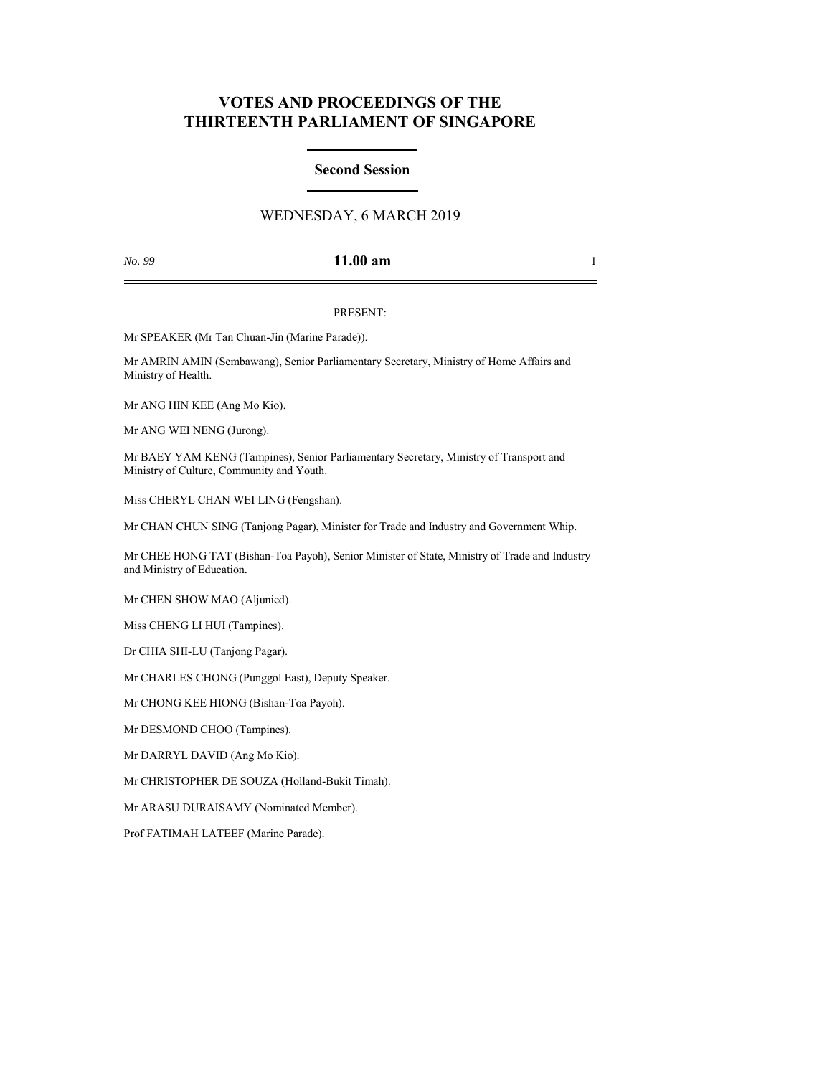# **VOTES AND PROCEEDINGS OF THE THIRTEENTH PARLIAMENT OF SINGAPORE**

### **Second Session**

## WEDNESDAY, 6 MARCH 2019

### *No. 99* **11.00 am** 1

#### PRESENT:

Mr SPEAKER (Mr Tan Chuan-Jin (Marine Parade)).

Mr AMRIN AMIN (Sembawang), Senior Parliamentary Secretary, Ministry of Home Affairs and Ministry of Health.

Mr ANG HIN KEE (Ang Mo Kio).

Mr ANG WEI NENG (Jurong).

Mr BAEY YAM KENG (Tampines), Senior Parliamentary Secretary, Ministry of Transport and Ministry of Culture, Community and Youth.

Miss CHERYL CHAN WEI LING (Fengshan).

Mr CHAN CHUN SING (Tanjong Pagar), Minister for Trade and Industry and Government Whip.

Mr CHEE HONG TAT (Bishan-Toa Payoh), Senior Minister of State, Ministry of Trade and Industry and Ministry of Education.

Mr CHEN SHOW MAO (Aljunied).

Miss CHENG LI HUI (Tampines).

Dr CHIA SHI-LU (Tanjong Pagar).

Mr CHARLES CHONG (Punggol East), Deputy Speaker.

Mr CHONG KEE HIONG (Bishan-Toa Payoh).

Mr DESMOND CHOO (Tampines).

Mr DARRYL DAVID (Ang Mo Kio).

Mr CHRISTOPHER DE SOUZA (Holland-Bukit Timah).

Mr ARASU DURAISAMY (Nominated Member).

Prof FATIMAH LATEEF (Marine Parade).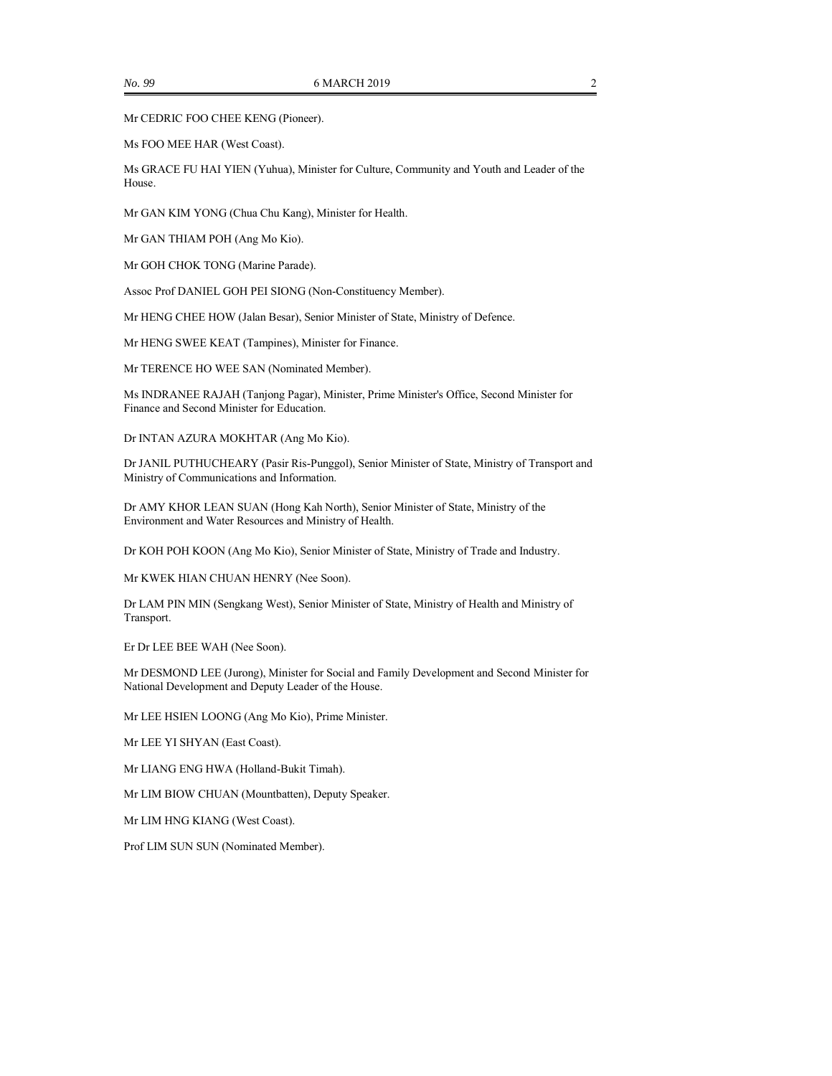Mr CEDRIC FOO CHEE KENG (Pioneer).

Ms FOO MEE HAR (West Coast).

Ms GRACE FU HAI YIEN (Yuhua), Minister for Culture, Community and Youth and Leader of the House.

Mr GAN KIM YONG (Chua Chu Kang), Minister for Health.

Mr GAN THIAM POH (Ang Mo Kio).

Mr GOH CHOK TONG (Marine Parade).

Assoc Prof DANIEL GOH PEI SIONG (Non-Constituency Member).

Mr HENG CHEE HOW (Jalan Besar), Senior Minister of State, Ministry of Defence.

Mr HENG SWEE KEAT (Tampines), Minister for Finance.

Mr TERENCE HO WEE SAN (Nominated Member).

Ms INDRANEE RAJAH (Tanjong Pagar), Minister, Prime Minister's Office, Second Minister for Finance and Second Minister for Education.

Dr INTAN AZURA MOKHTAR (Ang Mo Kio).

Dr JANIL PUTHUCHEARY (Pasir Ris-Punggol), Senior Minister of State, Ministry of Transport and Ministry of Communications and Information.

Dr AMY KHOR LEAN SUAN (Hong Kah North), Senior Minister of State, Ministry of the Environment and Water Resources and Ministry of Health.

Dr KOH POH KOON (Ang Mo Kio), Senior Minister of State, Ministry of Trade and Industry.

Mr KWEK HIAN CHUAN HENRY (Nee Soon).

Dr LAM PIN MIN (Sengkang West), Senior Minister of State, Ministry of Health and Ministry of Transport.

Er Dr LEE BEE WAH (Nee Soon).

Mr DESMOND LEE (Jurong), Minister for Social and Family Development and Second Minister for National Development and Deputy Leader of the House.

Mr LEE HSIEN LOONG (Ang Mo Kio), Prime Minister.

Mr LEE YI SHYAN (East Coast).

Mr LIANG ENG HWA (Holland-Bukit Timah).

Mr LIM BIOW CHUAN (Mountbatten), Deputy Speaker.

Mr LIM HNG KIANG (West Coast).

Prof LIM SUN SUN (Nominated Member).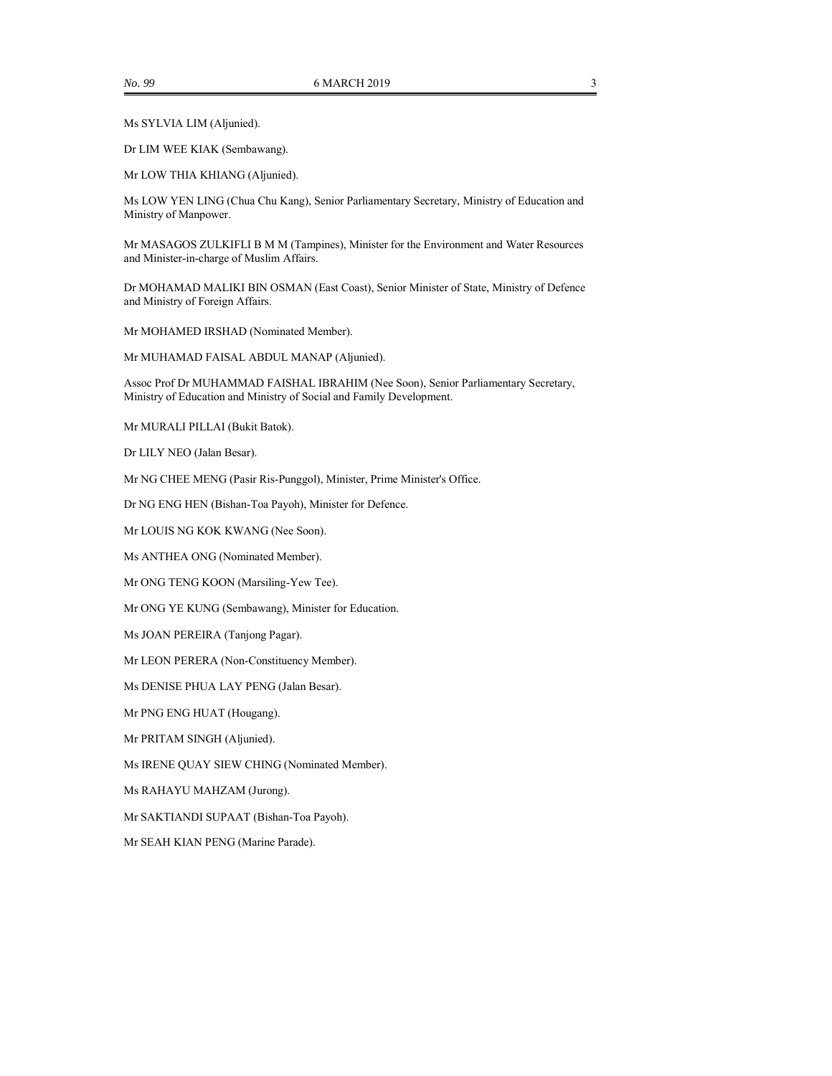Dr LIM WEE KIAK (Sembawang).

Mr LOW THIA KHIANG (Aljunied).

Ms LOW YEN LING (Chua Chu Kang), Senior Parliamentary Secretary, Ministry of Education and Ministry of Manpower.

Mr MASAGOS ZULKIFLI B M M (Tampines), Minister for the Environment and Water Resources and Minister-in-charge of Muslim Affairs.

Dr MOHAMAD MALIKI BIN OSMAN (East Coast), Senior Minister of State, Ministry of Defence and Ministry of Foreign Affairs.

Mr MOHAMED IRSHAD (Nominated Member).

Mr MUHAMAD FAISAL ABDUL MANAP (Aljunied).

Assoc Prof Dr MUHAMMAD FAISHAL IBRAHIM (Nee Soon), Senior Parliamentary Secretary, Ministry of Education and Ministry of Social and Family Development.

Mr MURALI PILLAI (Bukit Batok).

Dr LILY NEO (Jalan Besar).

Mr NG CHEE MENG (Pasir Ris-Punggol), Minister, Prime Minister's Office.

Dr NG ENG HEN (Bishan-Toa Payoh), Minister for Defence.

Mr LOUIS NG KOK KWANG (Nee Soon).

Ms ANTHEA ONG (Nominated Member).

Mr ONG TENG KOON (Marsiling-Yew Tee).

Mr ONG YE KUNG (Sembawang), Minister for Education.

Ms JOAN PEREIRA (Tanjong Pagar).

Mr LEON PERERA (Non-Constituency Member).

Ms DENISE PHUA LAY PENG (Jalan Besar).

Mr PNG ENG HUAT (Hougang).

Mr PRITAM SINGH (Aljunied).

Ms IRENE QUAY SIEW CHING (Nominated Member).

Ms RAHAYU MAHZAM (Jurong).

Mr SAKTIANDI SUPAAT (Bishan-Toa Payoh).

Mr SEAH KIAN PENG (Marine Parade).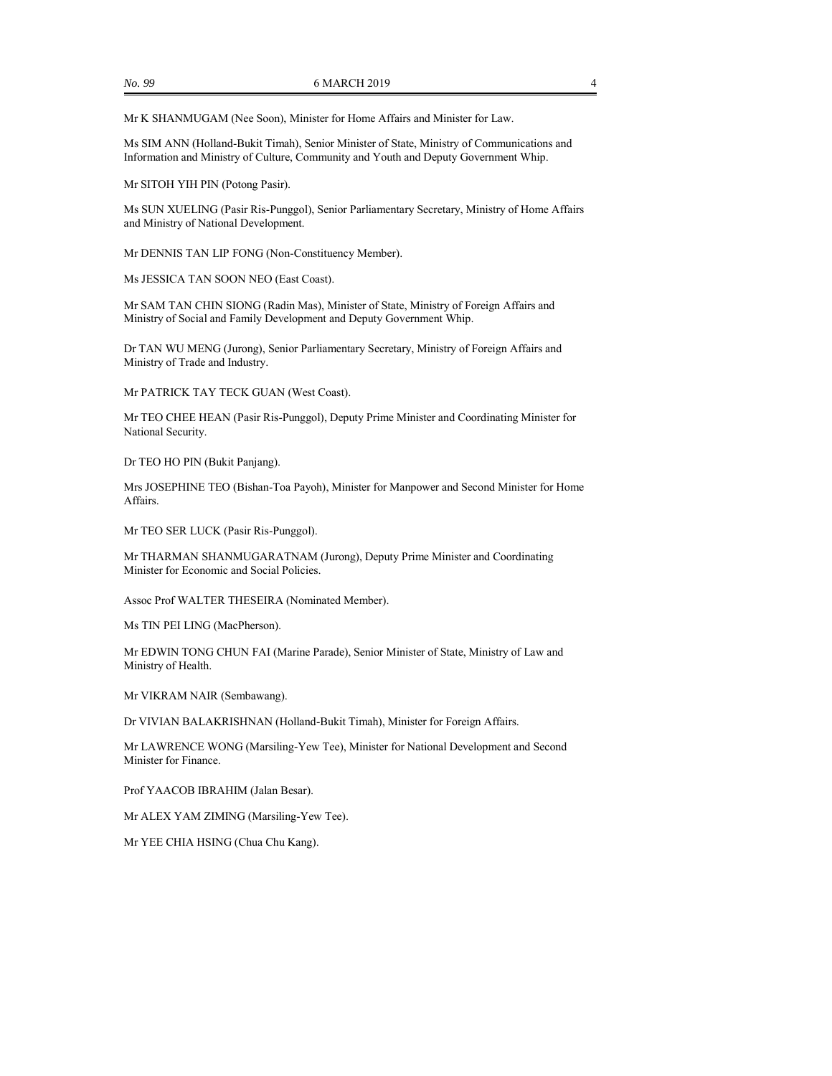Mr K SHANMUGAM (Nee Soon), Minister for Home Affairs and Minister for Law.

Ms SIM ANN (Holland-Bukit Timah), Senior Minister of State, Ministry of Communications and Information and Ministry of Culture, Community and Youth and Deputy Government Whip.

Mr SITOH YIH PIN (Potong Pasir).

Ms SUN XUELING (Pasir Ris-Punggol), Senior Parliamentary Secretary, Ministry of Home Affairs and Ministry of National Development.

Mr DENNIS TAN LIP FONG (Non-Constituency Member).

Ms JESSICA TAN SOON NEO (East Coast).

Mr SAM TAN CHIN SIONG (Radin Mas), Minister of State, Ministry of Foreign Affairs and Ministry of Social and Family Development and Deputy Government Whip.

Dr TAN WU MENG (Jurong), Senior Parliamentary Secretary, Ministry of Foreign Affairs and Ministry of Trade and Industry.

Mr PATRICK TAY TECK GUAN (West Coast).

Mr TEO CHEE HEAN (Pasir Ris-Punggol), Deputy Prime Minister and Coordinating Minister for National Security.

Dr TEO HO PIN (Bukit Panjang).

Mrs JOSEPHINE TEO (Bishan-Toa Payoh), Minister for Manpower and Second Minister for Home Affairs.

Mr TEO SER LUCK (Pasir Ris-Punggol).

Mr THARMAN SHANMUGARATNAM (Jurong), Deputy Prime Minister and Coordinating Minister for Economic and Social Policies.

Assoc Prof WALTER THESEIRA (Nominated Member).

Ms TIN PEI LING (MacPherson).

Mr EDWIN TONG CHUN FAI (Marine Parade), Senior Minister of State, Ministry of Law and Ministry of Health.

Mr VIKRAM NAIR (Sembawang).

Dr VIVIAN BALAKRISHNAN (Holland-Bukit Timah), Minister for Foreign Affairs.

Mr LAWRENCE WONG (Marsiling-Yew Tee), Minister for National Development and Second Minister for Finance.

Prof YAACOB IBRAHIM (Jalan Besar).

Mr ALEX YAM ZIMING (Marsiling-Yew Tee).

Mr YEE CHIA HSING (Chua Chu Kang).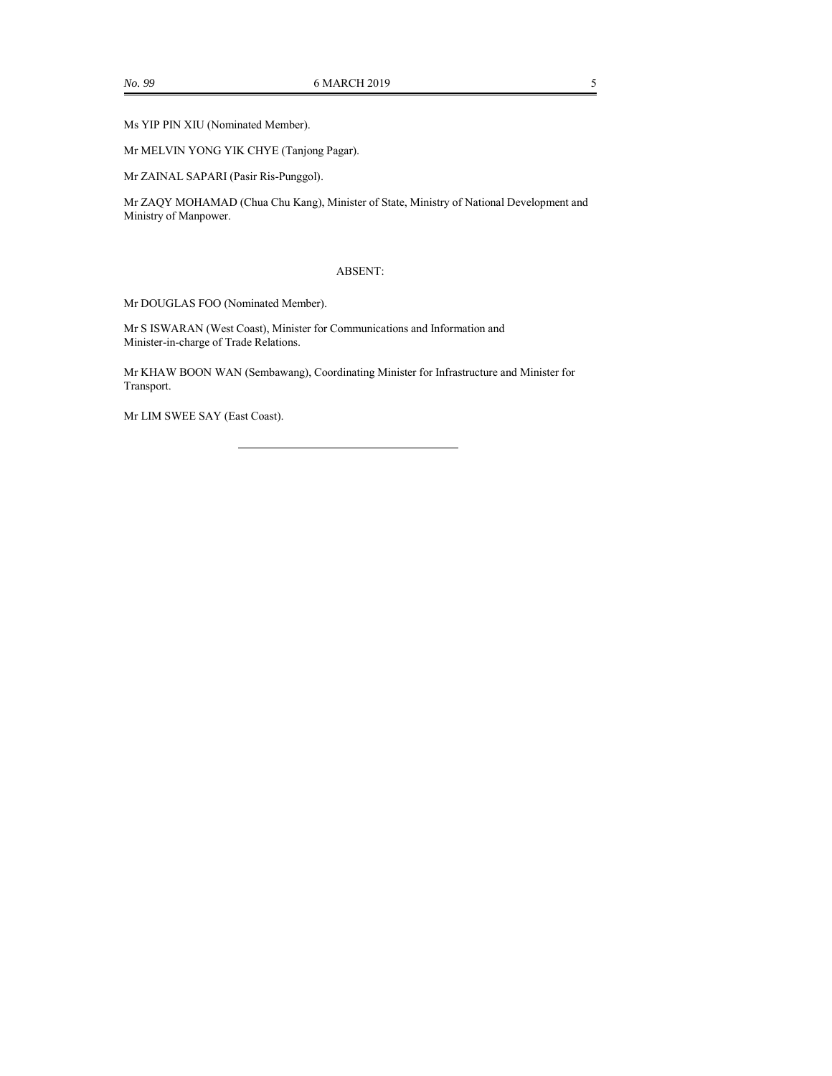Ms YIP PIN XIU (Nominated Member).

Mr MELVIN YONG YIK CHYE (Tanjong Pagar).

Mr ZAINAL SAPARI (Pasir Ris-Punggol).

Mr ZAQY MOHAMAD (Chua Chu Kang), Minister of State, Ministry of National Development and Ministry of Manpower.

#### ABSENT:

Mr DOUGLAS FOO (Nominated Member).

Mr S ISWARAN (West Coast), Minister for Communications and Information and Minister-in-charge of Trade Relations.

Mr KHAW BOON WAN (Sembawang), Coordinating Minister for Infrastructure and Minister for Transport.

Mr LIM SWEE SAY (East Coast).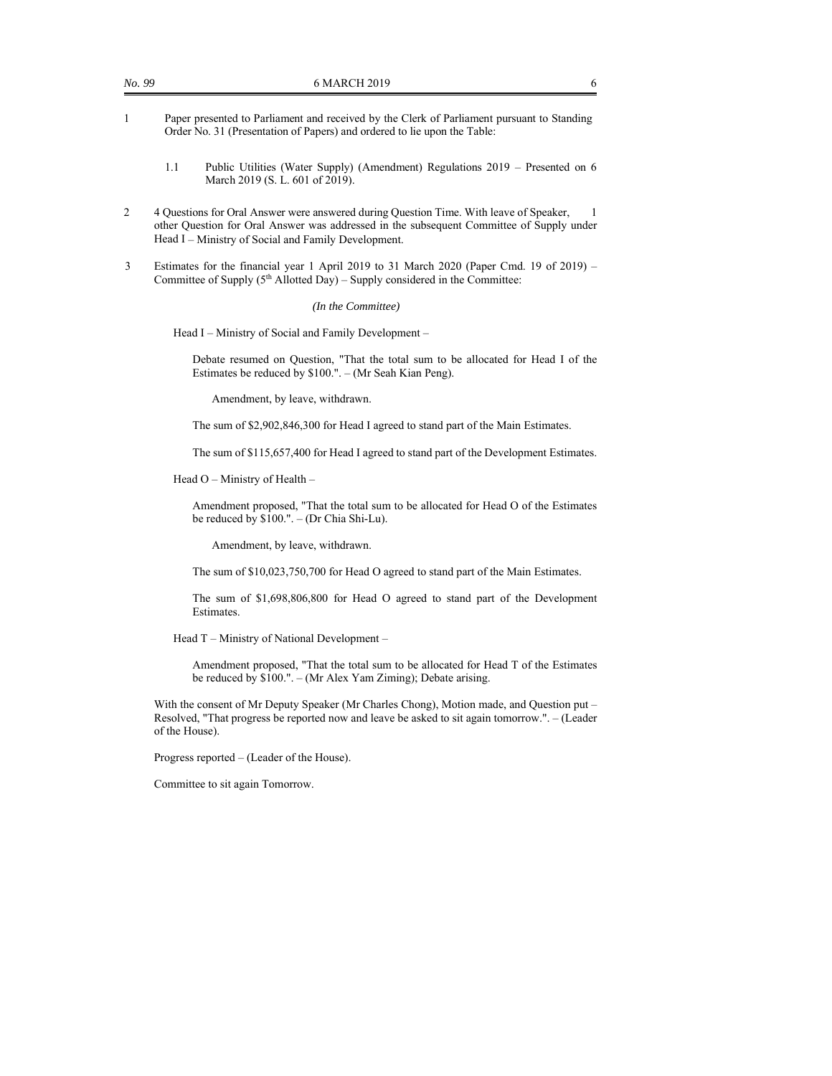- 1 Paper presented to Parliament and received by the Clerk of Parliament pursuant to Standing Order No. 31 (Presentation of Papers) and ordered to lie upon the Table:
	- 1.1 Public Utilities (Water Supply) (Amendment) Regulations 2019 Presented on 6 March 2019 (S. L. 601 of 2019).
- 2 4 Questions for Oral Answer were answered during Question Time. With leave of Speaker, 1 other Question for Oral Answer was addressed in the subsequent Committee of Supply under Head I – Ministry of Social and Family Development.
- 3 Estimates for the financial year 1 April 2019 to 31 March 2020 (Paper Cmd. 19 of 2019) Committee of Supply  $(5<sup>th</sup>$  Allotted Day) – Supply considered in the Committee:

*(In the Committee)* 

Head I – Ministry of Social and Family Development –

Debate resumed on Question, "That the total sum to be allocated for Head I of the Estimates be reduced by \$100.". – (Mr Seah Kian Peng).

Amendment, by leave, withdrawn.

The sum of \$2,902,846,300 for Head I agreed to stand part of the Main Estimates.

The sum of \$115,657,400 for Head I agreed to stand part of the Development Estimates.

Head O – Ministry of Health –

Amendment proposed, "That the total sum to be allocated for Head O of the Estimates be reduced by \$100.". – (Dr Chia Shi-Lu).

Amendment, by leave, withdrawn.

The sum of \$10,023,750,700 for Head O agreed to stand part of the Main Estimates.

The sum of \$1,698,806,800 for Head O agreed to stand part of the Development Estimates.

Head T – Ministry of National Development –

Amendment proposed, "That the total sum to be allocated for Head T of the Estimates be reduced by \$100.". – (Mr Alex Yam Ziming); Debate arising.

With the consent of Mr Deputy Speaker (Mr Charles Chong), Motion made, and Question put – Resolved, "That progress be reported now and leave be asked to sit again tomorrow.". – (Leader of the House).

Progress reported – (Leader of the House).

Committee to sit again Tomorrow.